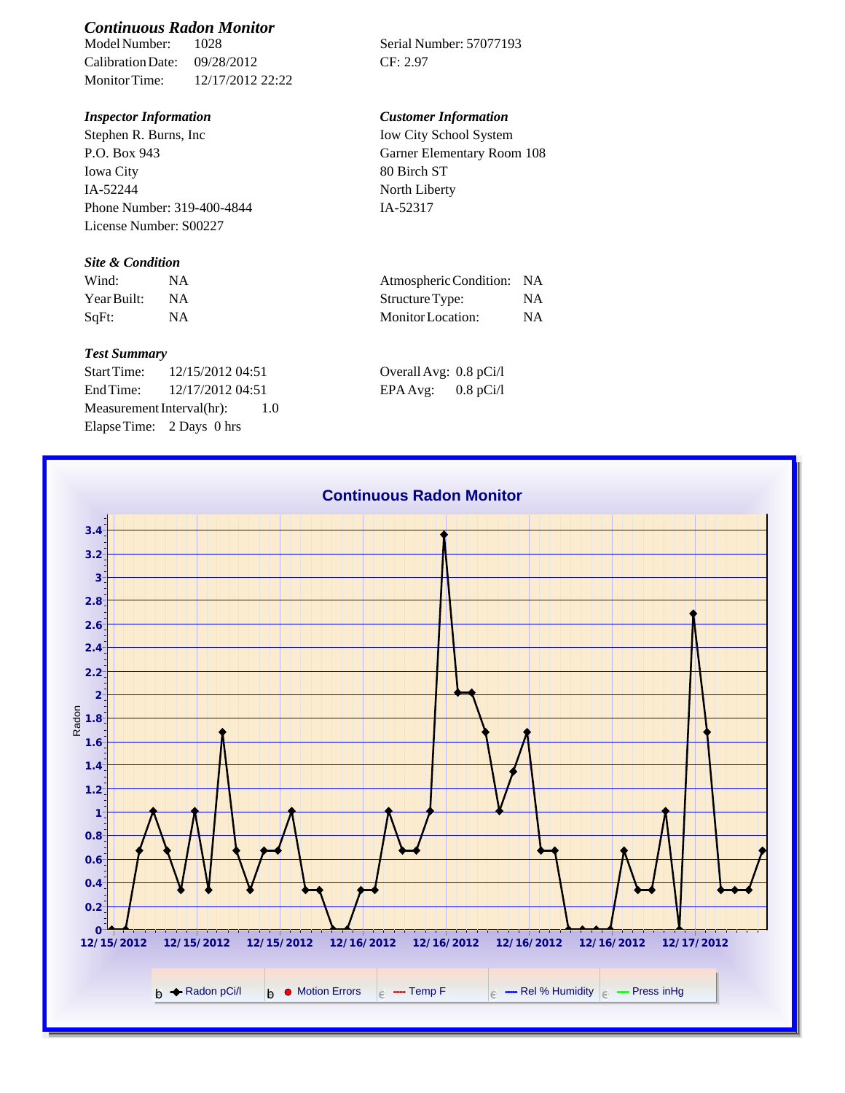# *Continuous Radon Monitor*

Calibration Date: 09/28/2012 CF: 2.97 Monitor Time: 12/17/2012 22:22

# *Inspector Information Customer Information*

Stephen R. Burns, Inc P.O. Box 943 Iowa City IA-52244 Phone Number: 319-400-4844 License Number: S00227

## *Site & Condition*

| Wind:       |           | Atmospheric Condition: NA |     |
|-------------|-----------|---------------------------|-----|
| Year Built: | <b>NA</b> | Structure Type:           | NA  |
| SqFt:       |           | Monitor Location:         | NA. |

### *Test Summary*

Start Time: 12/15/2012 04:51 Overall Avg: 0.8 pCi/l End Time: 12/17/2012 04:51 EPA Avg: 0.8 pCi/l Measurement Interval(hr): 1.0 Elapse Time: 2 Days 0 hrs

Serial Number: 57077193

Iow City School System Garner Elementary Room 108 80 Birch ST North Liberty IA-52317

| Atmospheric Condition: NA |     |
|---------------------------|-----|
| Structure Type:           | NA. |
| <b>Monitor</b> Location:  | NA. |

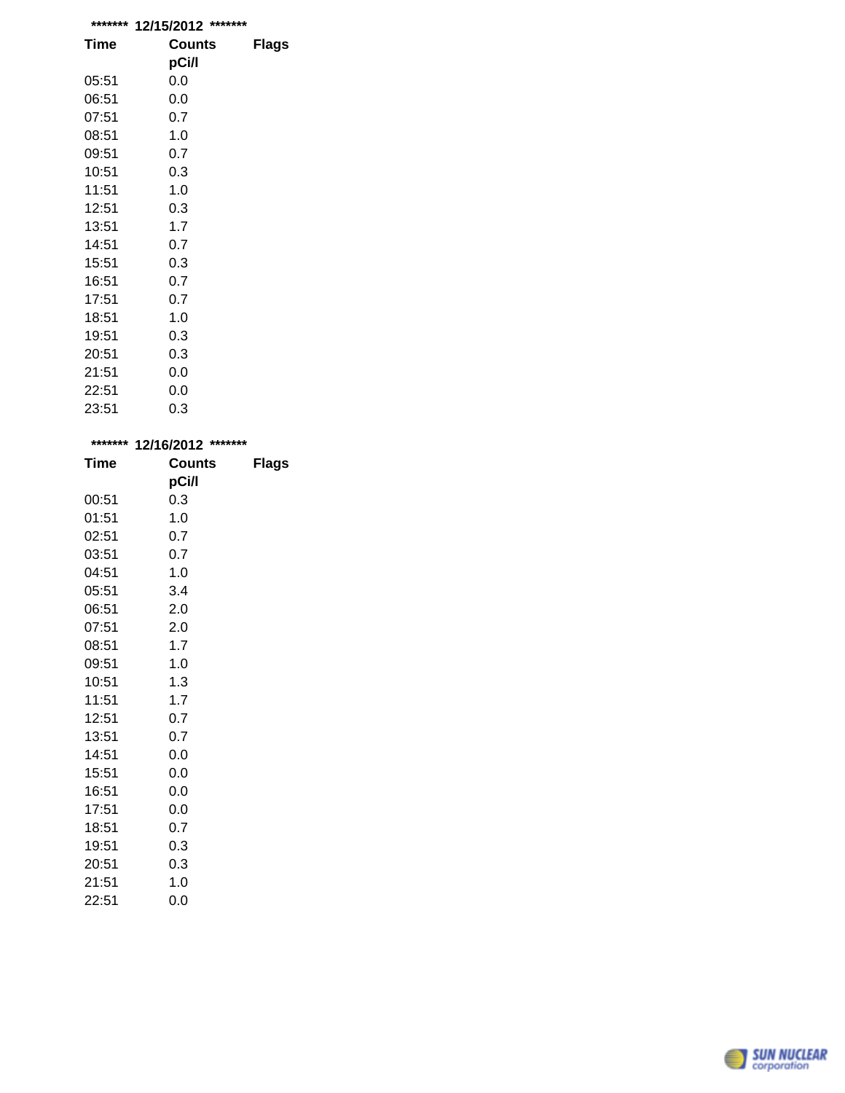| ******* | 12/15/2012 ******* |              |
|---------|--------------------|--------------|
| Time    | Counts             | <b>Flags</b> |
|         | pCi/l              |              |
| 05:51   | 0.0                |              |
| 06:51   | 0.0                |              |
| 07:51   | 0.7                |              |
| 08:51   | 1.0                |              |
| 09:51   | 0.7                |              |
| 10:51   | 0.3                |              |
| 11:51   | 1.0                |              |
| 12:51   | 0.3                |              |
| 13:51   | 1.7                |              |
| 14:51   | 0.7                |              |
| 15:51   | 0.3                |              |
| 16:51   | 0.7                |              |
| 17:51   | 0.7                |              |
| 18:51   | 1.0                |              |
| 19:51   | 0.3                |              |
| 20:51   | 0.3                |              |
| 21:51   | 0.0                |              |
| 22:51   | 0.0                |              |
| 23:51   | 0.3                |              |

| *******<br>12/16/2012 ******* |               |              |
|-------------------------------|---------------|--------------|
| <b>Time</b>                   | <b>Counts</b> | <b>Flags</b> |
|                               | pCi/l         |              |
| 00:51                         | 0.3           |              |
| 01:51                         | 1.0           |              |
| 02:51                         | 0.7           |              |
| 03:51                         | 0.7           |              |
| 04:51                         | 1.0           |              |
| 05:51                         | 3.4           |              |
| 06:51                         | 2.0           |              |
| 07:51                         | 2.0           |              |
| 08:51                         | 1.7           |              |
| 09:51                         | 1.0           |              |
| 10:51                         | 1.3           |              |
| 11:51                         | 1.7           |              |
| 12:51                         | 0.7           |              |
| 13:51                         | 0.7           |              |
| 14:51                         | 0.0           |              |
| 15:51                         | 0.0           |              |
| 16:51                         | 0.0           |              |
| 17:51                         | 0.0           |              |
| 18:51                         | 0.7           |              |
| 19:51                         | 0.3           |              |
| 20:51                         | 0.3           |              |
| 21:51                         | 1.0           |              |
| 22:51                         | 0.0           |              |